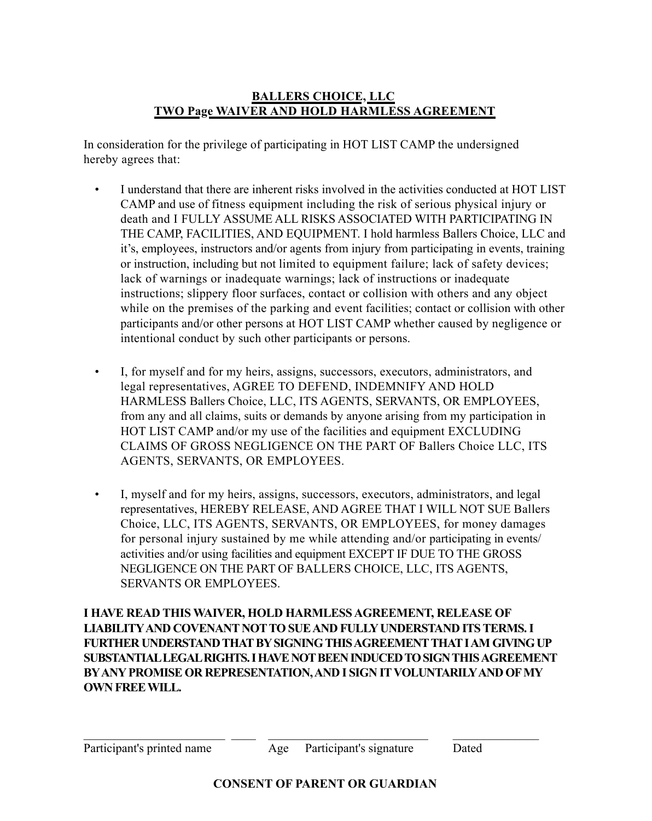## **BALLERS CHOICE, LLC TWO Page WAIVER AND HOLD HARMLESS AGREEMENT**

In consideration for the privilege of participating in HOT LIST CAMP the undersigned hereby agrees that:

- I understand that there are inherent risks involved in the activities conducted at HOT LIST CAMP and use of fitness equipment including the risk of serious physical injury or death and I FULLY ASSUME ALL RISKS ASSOCIATED WITH PARTICIPATING IN THE CAMP, FACILITIES, AND EQUIPMENT. I hold harmless Ballers Choice, LLC and it's, employees, instructors and/or agents from injury from participating in events, training or instruction, including but not limited to equipment failure; lack of safety devices; lack of warnings or inadequate warnings; lack of instructions or inadequate instructions; slippery floor surfaces, contact or collision with others and any object while on the premises of the parking and event facilities; contact or collision with other participants and/or other persons at HOT LIST CAMP whether caused by negligence or intentional conduct by such other participants or persons.
- I, for myself and for my heirs, assigns, successors, executors, administrators, and legal representatives, AGREE TO DEFEND, INDEMNIFY AND HOLD HARMLESS Ballers Choice, LLC, ITS AGENTS, SERVANTS, OR EMPLOYEES, from any and all claims, suits or demands by anyone arising from my participation in HOT LIST CAMP and/or my use of the facilities and equipment EXCLUDING CLAIMS OF GROSS NEGLIGENCE ON THE PART OF Ballers Choice LLC, ITS AGENTS, SERVANTS, OR EMPLOYEES.
- I, myself and for my heirs, assigns, successors, executors, administrators, and legal representatives, HEREBY RELEASE, AND AGREE THAT I WILL NOT SUE Ballers Choice, LLC, ITS AGENTS, SERVANTS, OR EMPLOYEES, for money damages for personal injury sustained by me while attending and/or participating in events/ activities and/or using facilities and equipment EXCEPT IF DUE TO THE GROSS NEGLIGENCE ON THE PART OF BALLERS CHOICE, LLC, ITS AGENTS, SERVANTS OR EMPLOYEES.

**I HAVE READ THIS WAIVER, HOLD HARMLESS AGREEMENT, RELEASE OF LIABILITY AND COVENANT NOT TO SUE AND FULLY UNDERSTAND ITS TERMS. I FURTHER UNDERSTAND THAT BY SIGNING THIS AGREEMENT THAT I AM GIVING UP SUBSTANTIAL LEGAL RIGHTS. I HAVE NOT BEEN INDUCED TO SIGN THIS AGREEMENT BY ANY PROMISE OR REPRESENTATION, AND I SIGN IT VOLUNTARILY AND OF MY OWN FREE WILL.**

 $\_$  , and the contribution of  $\_$  , and  $\_$  , and  $\_$  , and  $\_$  , and  $\_$  , and  $\_$  , and  $\_$  , and  $\_$